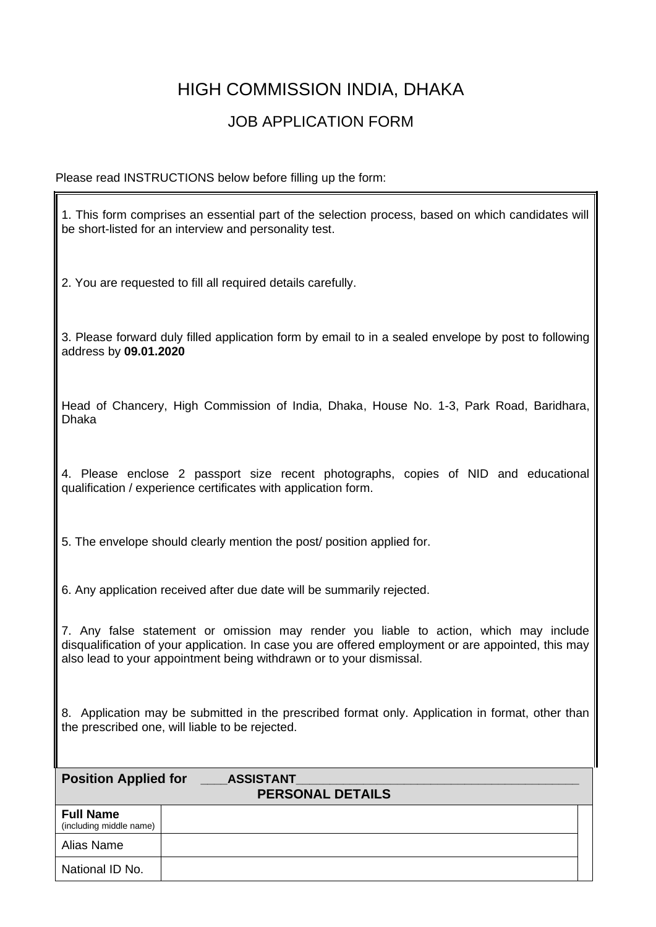## HIGH COMMISSION INDIA, DHAKA

## JOB APPLICATION FORM

Please read INSTRUCTIONS below before filling up the form:

National ID No.

1. This form comprises an essential part of the selection process, based on which candidates will be short-listed for an interview and personality test. 2. You are requested to fill all required details carefully. 3. Please forward duly filled application form by email to in a sealed envelope by post to following address by **09.01.2020** Head of Chancery, High Commission of India, Dhaka, House No. 1-3, Park Road, Baridhara, Dhaka 4. Please enclose 2 passport size recent photographs, copies of NID and educational qualification / experience certificates with application form. 5. The envelope should clearly mention the post/ position applied for. 6. Any application received after due date will be summarily rejected. 7. Any false statement or omission may render you liable to action, which may include disqualification of your application. In case you are offered employment or are appointed, this may also lead to your appointment being withdrawn or to your dismissal. 8. Application may be submitted in the prescribed format only. Application in format, other than the prescribed one, will liable to be rejected. **Position Applied for \_\_\_\_ASSISTANT\_\_\_\_\_\_\_\_\_\_\_\_\_\_\_\_\_\_\_\_\_\_\_\_\_\_\_\_\_\_\_\_\_\_\_\_\_\_\_\_\_\_ PERSONAL DETAILS Full Name**  (including middle name) Alias Name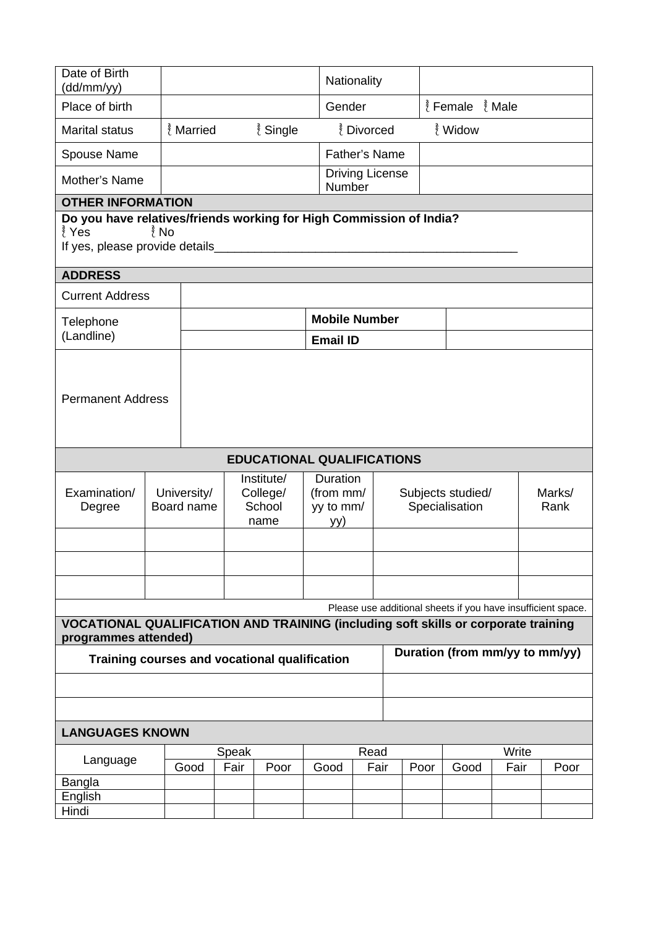| Date of Birth<br>(dd/mm/yy)                                                                                                                        |      |                                                                       |  |                      |                                           | Nationality                      |                                     |                                         |            |      |                |  |  |
|----------------------------------------------------------------------------------------------------------------------------------------------------|------|-----------------------------------------------------------------------|--|----------------------|-------------------------------------------|----------------------------------|-------------------------------------|-----------------------------------------|------------|------|----------------|--|--|
| Place of birth                                                                                                                                     |      |                                                                       |  |                      | Gender                                    |                                  |                                     | $\frac{3}{2}$ Female $\frac{3}{2}$ Male |            |      |                |  |  |
| <b>Marital status</b>                                                                                                                              |      | ₹ Married                                                             |  | $\frac{3}{2}$ Single |                                           | ¿ Divorced                       |                                     |                                         | ๎ึ้{ Widow |      |                |  |  |
| Spouse Name                                                                                                                                        |      |                                                                       |  |                      |                                           | <b>Father's Name</b>             |                                     |                                         |            |      |                |  |  |
| Mother's Name                                                                                                                                      |      |                                                                       |  |                      |                                           | <b>Driving License</b><br>Number |                                     |                                         |            |      |                |  |  |
| <b>OTHER INFORMATION</b>                                                                                                                           |      |                                                                       |  |                      |                                           |                                  |                                     |                                         |            |      |                |  |  |
| Do you have relatives/friends working for High Commission of India?<br>∮ี Yes<br>$\frac{3}{2}$ No<br>If yes, please provide details                |      |                                                                       |  |                      |                                           |                                  |                                     |                                         |            |      |                |  |  |
| <b>ADDRESS</b>                                                                                                                                     |      |                                                                       |  |                      |                                           |                                  |                                     |                                         |            |      |                |  |  |
| <b>Current Address</b>                                                                                                                             |      |                                                                       |  |                      |                                           |                                  |                                     |                                         |            |      |                |  |  |
| Telephone                                                                                                                                          |      |                                                                       |  |                      |                                           | <b>Mobile Number</b>             |                                     |                                         |            |      |                |  |  |
| (Landline)                                                                                                                                         |      |                                                                       |  |                      | <b>Email ID</b>                           |                                  |                                     |                                         |            |      |                |  |  |
| <b>Permanent Address</b>                                                                                                                           |      |                                                                       |  |                      |                                           |                                  |                                     |                                         |            |      |                |  |  |
| <b>EDUCATIONAL QUALIFICATIONS</b>                                                                                                                  |      |                                                                       |  |                      |                                           |                                  |                                     |                                         |            |      |                |  |  |
| Examination/<br>Degree                                                                                                                             |      | Institute/<br>University/<br>College/<br>School<br>Board name<br>name |  |                      | Duration<br>(from mm/<br>yy to mm/<br>yy) |                                  | Subjects studied/<br>Specialisation |                                         |            |      | Marks/<br>Rank |  |  |
|                                                                                                                                                    |      |                                                                       |  |                      |                                           |                                  |                                     |                                         |            |      |                |  |  |
|                                                                                                                                                    |      |                                                                       |  |                      |                                           |                                  |                                     |                                         |            |      |                |  |  |
|                                                                                                                                                    |      |                                                                       |  |                      |                                           |                                  |                                     |                                         |            |      |                |  |  |
| Please use additional sheets if you have insufficient space.<br>VOCATIONAL QUALIFICATION AND TRAINING (including soft skills or corporate training |      |                                                                       |  |                      |                                           |                                  |                                     |                                         |            |      |                |  |  |
| programmes attended)<br>Duration (from mm/yy to mm/yy)                                                                                             |      |                                                                       |  |                      |                                           |                                  |                                     |                                         |            |      |                |  |  |
| Training courses and vocational qualification                                                                                                      |      |                                                                       |  |                      |                                           |                                  |                                     |                                         |            |      |                |  |  |
|                                                                                                                                                    |      |                                                                       |  |                      |                                           |                                  |                                     |                                         |            |      |                |  |  |
| <b>LANGUAGES KNOWN</b>                                                                                                                             |      |                                                                       |  |                      |                                           |                                  |                                     |                                         |            |      |                |  |  |
| Write<br>Speak<br>Read                                                                                                                             |      |                                                                       |  |                      |                                           |                                  |                                     |                                         |            |      |                |  |  |
| Language                                                                                                                                           | Good |                                                                       |  | Fair<br>Poor         |                                           | Fair                             | Poor                                |                                         | Good       | Fair | Poor           |  |  |
| Bangla                                                                                                                                             |      |                                                                       |  |                      | Good                                      |                                  |                                     |                                         |            |      |                |  |  |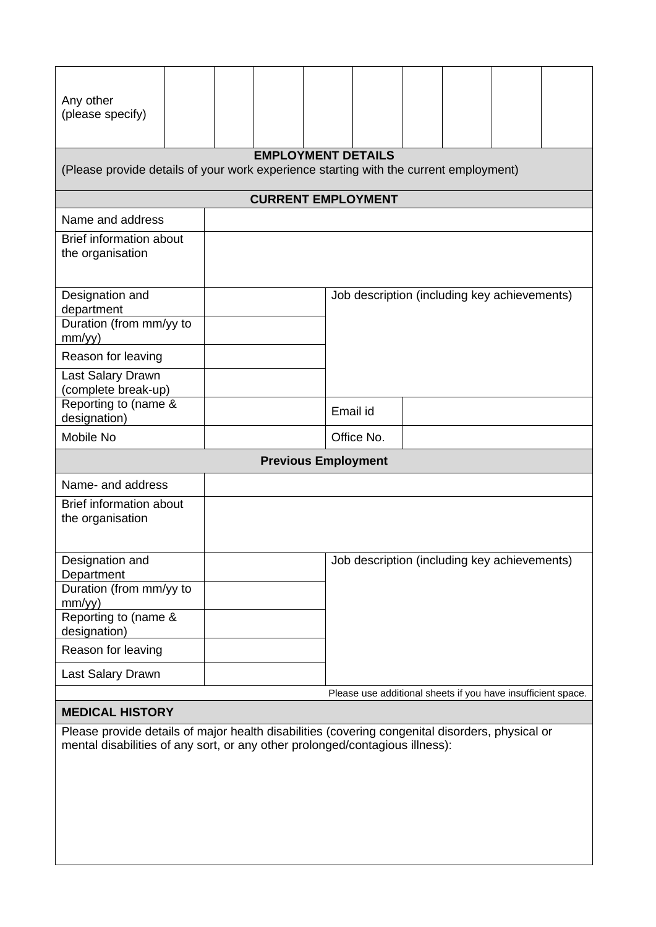| Any other<br>(please specify)                                                                                      |  |  |  |                            |                                              |  |                                                              |  |  |  |
|--------------------------------------------------------------------------------------------------------------------|--|--|--|----------------------------|----------------------------------------------|--|--------------------------------------------------------------|--|--|--|
| <b>EMPLOYMENT DETAILS</b><br>(Please provide details of your work experience starting with the current employment) |  |  |  |                            |                                              |  |                                                              |  |  |  |
| <b>CURRENT EMPLOYMENT</b>                                                                                          |  |  |  |                            |                                              |  |                                                              |  |  |  |
| Name and address                                                                                                   |  |  |  |                            |                                              |  |                                                              |  |  |  |
| <b>Brief information about</b><br>the organisation                                                                 |  |  |  |                            |                                              |  |                                                              |  |  |  |
| Designation and<br>department                                                                                      |  |  |  |                            | Job description (including key achievements) |  |                                                              |  |  |  |
| Duration (from mm/yy to<br>mm/yy)                                                                                  |  |  |  |                            |                                              |  |                                                              |  |  |  |
| Reason for leaving                                                                                                 |  |  |  |                            |                                              |  |                                                              |  |  |  |
| Last Salary Drawn<br>(complete break-up)                                                                           |  |  |  |                            |                                              |  |                                                              |  |  |  |
| Reporting to (name &<br>designation)                                                                               |  |  |  | Email id                   |                                              |  |                                                              |  |  |  |
| Mobile No                                                                                                          |  |  |  |                            | Office No.                                   |  |                                                              |  |  |  |
|                                                                                                                    |  |  |  | <b>Previous Employment</b> |                                              |  |                                                              |  |  |  |
| Name- and address                                                                                                  |  |  |  |                            |                                              |  |                                                              |  |  |  |
| <b>Brief information about</b><br>the organisation                                                                 |  |  |  |                            |                                              |  |                                                              |  |  |  |
| Designation and<br>Department                                                                                      |  |  |  |                            | Job description (including key achievements) |  |                                                              |  |  |  |
| Duration (from mm/yy to<br>mm/yy)                                                                                  |  |  |  |                            |                                              |  |                                                              |  |  |  |
| Reporting to (name &<br>designation)                                                                               |  |  |  |                            |                                              |  |                                                              |  |  |  |
| Reason for leaving                                                                                                 |  |  |  |                            |                                              |  |                                                              |  |  |  |
| Last Salary Drawn                                                                                                  |  |  |  |                            |                                              |  |                                                              |  |  |  |
|                                                                                                                    |  |  |  |                            |                                              |  | Please use additional sheets if you have insufficient space. |  |  |  |

## **MEDICAL HISTORY**

Please provide details of major health disabilities (covering congenital disorders, physical or mental disabilities of any sort, or any other prolonged/contagious illness):